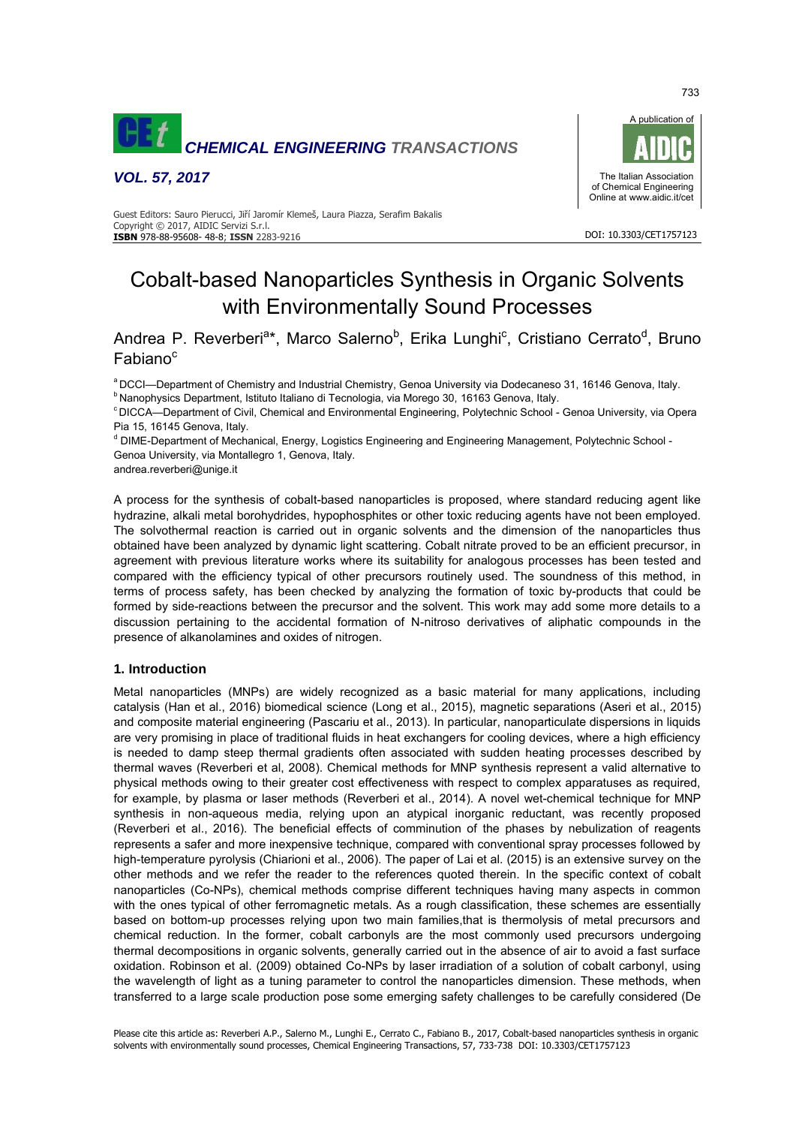

*VOL. 57, 2017*



#### Guest Editors: Sauro Pierucci, Jiří Jaromír Klemeš, Laura Piazza, Serafim Bakalis Copyright © 2017, AIDIC Servizi S.r.l. **ISBN** 978-88-95608- 48-8; **ISSN** 2283-9216

# Cobalt-based Nanoparticles Synthesis in Organic Solvents with Environmentally Sound Processes

Andrea P. Reverberi<sup>a\*</sup>, Marco Salerno<sup>b</sup>, Erika Lunghi<sup>c</sup>, Cristiano Cerrato<sup>d</sup>, Bruno Fabiano<sup>c</sup>

a DCCI—Department of Chemistry and Industrial Chemistry, Genoa University via Dodecaneso 31, 16146 Genova, Italy. <sup>b</sup> Nanophysics Department, Istituto Italiano di Tecnologia, via Morego 30, 16163 Genova, Italy.

<sup>c</sup> DICCA—Department of Civil, Chemical and Environmental Engineering, Polytechnic School - Genoa University, via Opera Pia 15, 16145 Genova, Italy.

<sup>d</sup> DIME-Department of Mechanical, Energy, Logistics Engineering and Engineering Management, Polytechnic School -Genoa University, via Montallegro 1, Genova, Italy.

andrea.reverberi@unige.it

A process for the synthesis of cobalt-based nanoparticles is proposed, where standard reducing agent like hydrazine, alkali metal borohydrides, hypophosphites or other toxic reducing agents have not been employed. The solvothermal reaction is carried out in organic solvents and the dimension of the nanoparticles thus obtained have been analyzed by dynamic light scattering. Cobalt nitrate proved to be an efficient precursor, in agreement with previous literature works where its suitability for analogous processes has been tested and compared with the efficiency typical of other precursors routinely used. The soundness of this method, in terms of process safety, has been checked by analyzing the formation of toxic by-products that could be formed by side-reactions between the precursor and the solvent. This work may add some more details to a discussion pertaining to the accidental formation of N-nitroso derivatives of aliphatic compounds in the presence of alkanolamines and oxides of nitrogen.

## **1. Introduction**

Metal nanoparticles (MNPs) are widely recognized as a basic material for many applications, including catalysis (Han et al., 2016) biomedical science (Long et al., 2015), magnetic separations (Aseri et al., 2015) and composite material engineering (Pascariu et al., 2013). In particular, nanoparticulate dispersions in liquids are very promising in place of traditional fluids in heat exchangers for cooling devices, where a high efficiency is needed to damp steep thermal gradients often associated with sudden heating processes described by thermal waves (Reverberi et al, 2008). Chemical methods for MNP synthesis represent a valid alternative to physical methods owing to their greater cost effectiveness with respect to complex apparatuses as required, for example, by plasma or laser methods (Reverberi et al., 2014). A novel wet-chemical technique for MNP synthesis in non-aqueous media, relying upon an atypical inorganic reductant, was recently proposed (Reverberi et al., 2016). The beneficial effects of comminution of the phases by nebulization of reagents represents a safer and more inexpensive technique, compared with conventional spray processes followed by high-temperature pyrolysis (Chiarioni et al., 2006). The paper of Lai et al. (2015) is an extensive survey on the other methods and we refer the reader to the references quoted therein. In the specific context of cobalt nanoparticles (Co-NPs), chemical methods comprise different techniques having many aspects in common with the ones typical of other ferromagnetic metals. As a rough classification, these schemes are essentially based on bottom-up processes relying upon two main families,that is thermolysis of metal precursors and chemical reduction. In the former, cobalt carbonyls are the most commonly used precursors undergoing thermal decompositions in organic solvents, generally carried out in the absence of air to avoid a fast surface oxidation. Robinson et al. (2009) obtained Co-NPs by laser irradiation of a solution of cobalt carbonyl, using the wavelength of light as a tuning parameter to control the nanoparticles dimension. These methods, when transferred to a large scale production pose some emerging safety challenges to be carefully considered (De

733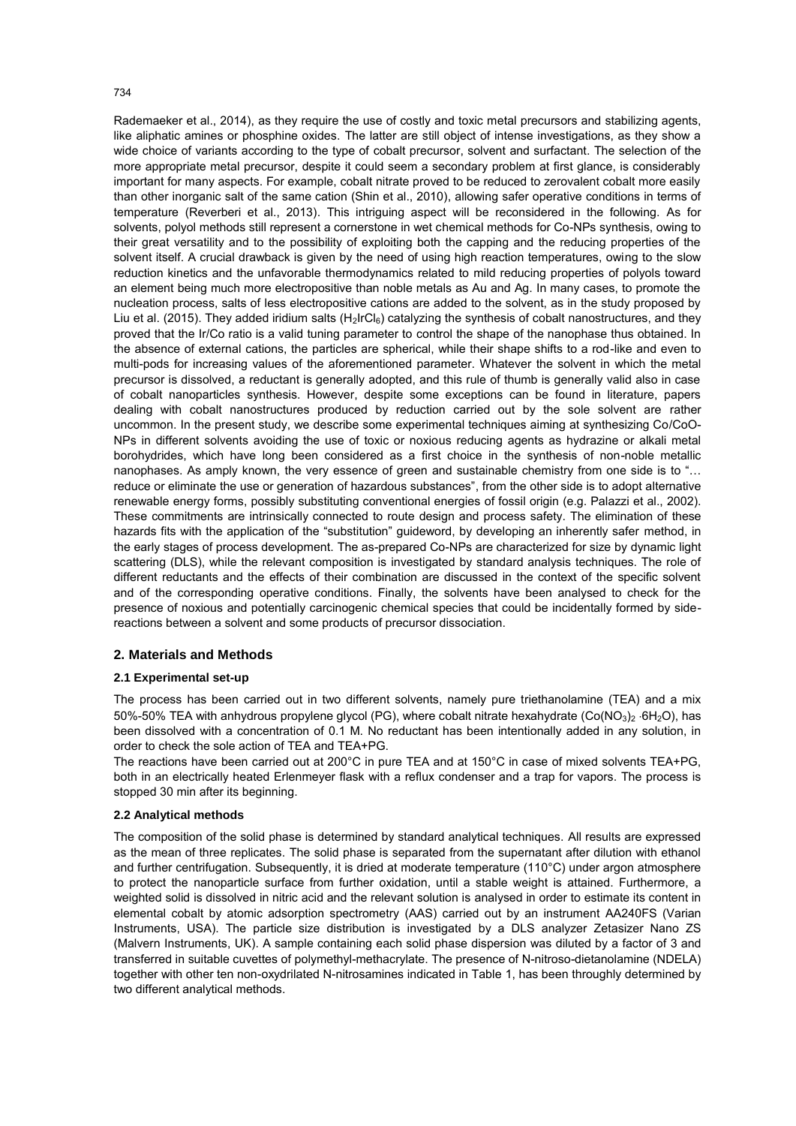#### 734

Rademaeker et al., 2014), as they require the use of costly and toxic metal precursors and stabilizing agents, like aliphatic amines or phosphine oxides. The latter are still object of intense investigations, as they show a wide choice of variants according to the type of cobalt precursor, solvent and surfactant. The selection of the more appropriate metal precursor, despite it could seem a secondary problem at first glance, is considerably important for many aspects. For example, cobalt nitrate proved to be reduced to zerovalent cobalt more easily than other inorganic salt of the same cation (Shin et al., 2010), allowing safer operative conditions in terms of temperature (Reverberi et al., 2013). This intriguing aspect will be reconsidered in the following. As for solvents, polyol methods still represent a cornerstone in wet chemical methods for Co-NPs synthesis, owing to their great versatility and to the possibility of exploiting both the capping and the reducing properties of the solvent itself. A crucial drawback is given by the need of using high reaction temperatures, owing to the slow reduction kinetics and the unfavorable thermodynamics related to mild reducing properties of polyols toward an element being much more electropositive than noble metals as Au and Ag. In many cases, to promote the nucleation process, salts of less electropositive cations are added to the solvent, as in the study proposed by Liu et al. (2015). They added iridium salts  $(H_2IrCl_6)$  catalyzing the synthesis of cobalt nanostructures, and they proved that the Ir/Co ratio is a valid tuning parameter to control the shape of the nanophase thus obtained. In the absence of external cations, the particles are spherical, while their shape shifts to a rod-like and even to multi-pods for increasing values of the aforementioned parameter. Whatever the solvent in which the metal precursor is dissolved, a reductant is generally adopted, and this rule of thumb is generally valid also in case of cobalt nanoparticles synthesis. However, despite some exceptions can be found in literature, papers dealing with cobalt nanostructures produced by reduction carried out by the sole solvent are rather uncommon. In the present study, we describe some experimental techniques aiming at synthesizing Co/CoO-NPs in different solvents avoiding the use of toxic or noxious reducing agents as hydrazine or alkali metal borohydrides, which have long been considered as a first choice in the synthesis of non-noble metallic nanophases. As amply known, the very essence of green and sustainable chemistry from one side is to "… reduce or eliminate the use or generation of hazardous substances", from the other side is to adopt alternative renewable energy forms, possibly substituting conventional energies of fossil origin (e.g. Palazzi et al., 2002). These commitments are intrinsically connected to route design and process safety. The elimination of these hazards fits with the application of the "substitution" guideword, by developing an inherently safer method, in the early stages of process development. The as-prepared Co-NPs are characterized for size by dynamic light scattering (DLS), while the relevant composition is investigated by standard analysis techniques. The role of different reductants and the effects of their combination are discussed in the context of the specific solvent and of the corresponding operative conditions. Finally, the solvents have been analysed to check for the presence of noxious and potentially carcinogenic chemical species that could be incidentally formed by sidereactions between a solvent and some products of precursor dissociation.

#### **2. Materials and Methods**

#### **2.1 Experimental set-up**

The process has been carried out in two different solvents, namely pure triethanolamine (TEA) and a mix 50%-50% TEA with anhydrous propylene glycol (PG), where cobalt nitrate hexahydrate (Co(NO<sub>3</sub>)<sub>2</sub> 6H<sub>2</sub>O), has been dissolved with a concentration of 0.1 M. No reductant has been intentionally added in any solution, in order to check the sole action of TEA and TEA+PG.

The reactions have been carried out at 200°C in pure TEA and at 150°C in case of mixed solvents TEA+PG, both in an electrically heated Erlenmeyer flask with a reflux condenser and a trap for vapors. The process is stopped 30 min after its beginning.

## **2.2 Analytical methods**

The composition of the solid phase is determined by standard analytical techniques. All results are expressed as the mean of three replicates. The solid phase is separated from the supernatant after dilution with ethanol and further centrifugation. Subsequently, it is dried at moderate temperature (110°C) under argon atmosphere to protect the nanoparticle surface from further oxidation, until a stable weight is attained. Furthermore, a weighted solid is dissolved in nitric acid and the relevant solution is analysed in order to estimate its content in elemental cobalt by atomic adsorption spectrometry (AAS) carried out by an instrument AA240FS (Varian Instruments, USA). The particle size distribution is investigated by a DLS analyzer Zetasizer Nano ZS (Malvern Instruments, UK). A sample containing each solid phase dispersion was diluted by a factor of 3 and transferred in suitable cuvettes of polymethyl-methacrylate. The presence of N-nitroso-dietanolamine (NDELA) together with other ten non-oxydrilated N-nitrosamines indicated in Table 1, has been throughly determined by two different analytical methods.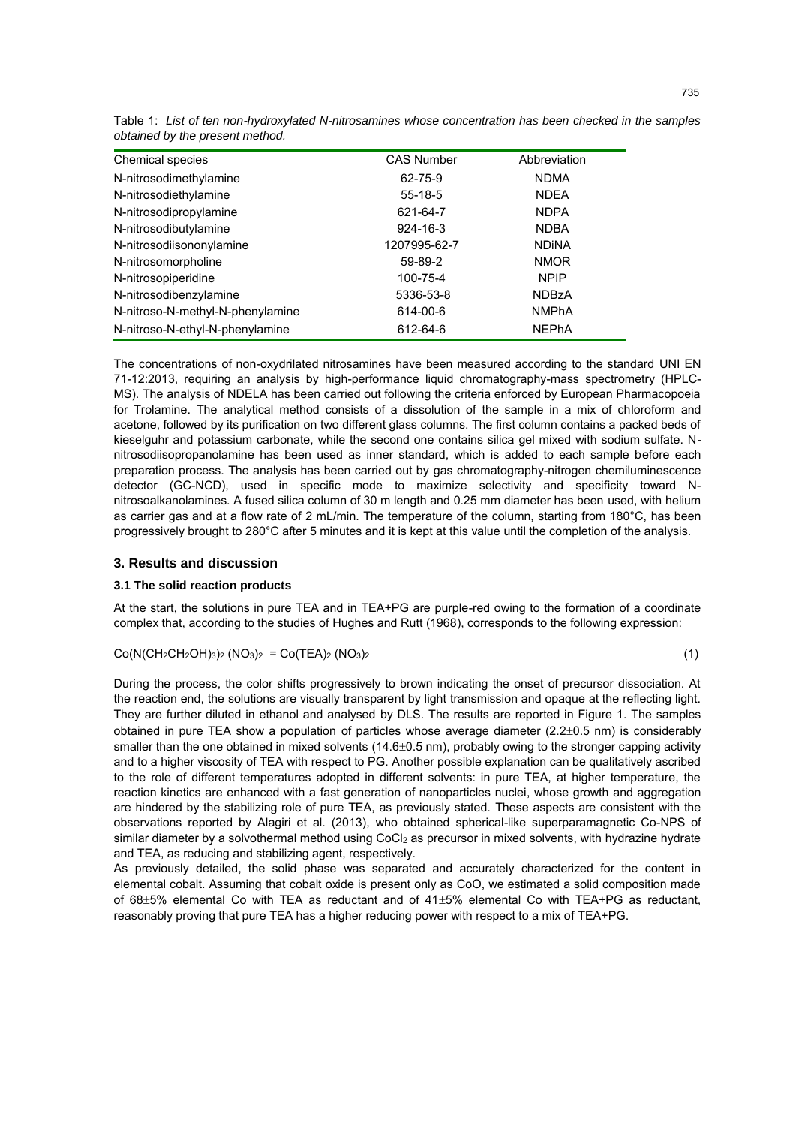| <b>CAS Number</b> | Abbreviation |
|-------------------|--------------|
| 62-75-9           | <b>NDMA</b>  |
| $55 - 18 - 5$     | <b>NDEA</b>  |
| 621-64-7          | <b>NDPA</b>  |
| $924 - 16 - 3$    | <b>NDBA</b>  |
| 1207995-62-7      | <b>NDINA</b> |
| 59-89-2           | <b>NMOR</b>  |
| 100-75-4          | <b>NPIP</b>  |
| 5336-53-8         | <b>NDBzA</b> |
| 614-00-6          | <b>NMPhA</b> |
| 612-64-6          | <b>NEPhA</b> |
|                   |              |

Table 1: *List of ten non-hydroxylated N-nitrosamines whose concentration has been checked in the samples obtained by the present method.*

The concentrations of non-oxydrilated nitrosamines have been measured according to the standard UNI EN 71-12:2013, requiring an analysis by high-performance liquid chromatography-mass spectrometry (HPLC-MS). The analysis of NDELA has been carried out following the criteria enforced by European Pharmacopoeia for Trolamine. The analytical method consists of a dissolution of the sample in a mix of chloroform and acetone, followed by its purification on two different glass columns. The first column contains a packed beds of kieselguhr and potassium carbonate, while the second one contains silica gel mixed with sodium sulfate. Nnitrosodiisopropanolamine has been used as inner standard, which is added to each sample before each preparation process. The analysis has been carried out by gas chromatography-nitrogen chemiluminescence detector (GC-NCD), used in specific mode to maximize selectivity and specificity toward Nnitrosoalkanolamines. A fused silica column of 30 m length and 0.25 mm diameter has been used, with helium as carrier gas and at a flow rate of 2 mL/min. The temperature of the column, starting from 180°C, has been progressively brought to 280°C after 5 minutes and it is kept at this value until the completion of the analysis.

## **3. Results and discussion**

#### **3.1 The solid reaction products**

At the start, the solutions in pure TEA and in TEA+PG are purple-red owing to the formation of a coordinate complex that, according to the studies of Hughes and Rutt (1968), corresponds to the following expression:

$$
Co(N(CH_2CH_2OH)_3)_2 (NO_3)_2 = Co(TEA)_2 (NO_3)_2
$$
\n(1)

During the process, the color shifts progressively to brown indicating the onset of precursor dissociation. At the reaction end, the solutions are visually transparent by light transmission and opaque at the reflecting light. They are further diluted in ethanol and analysed by DLS. The results are reported in Figure 1. The samples obtained in pure TEA show a population of particles whose average diameter  $(2.2\pm0.5 \text{ nm})$  is considerably smaller than the one obtained in mixed solvents  $(14.6\pm0.5 \text{ nm})$ , probably owing to the stronger capping activity and to a higher viscosity of TEA with respect to PG. Another possible explanation can be qualitatively ascribed to the role of different temperatures adopted in different solvents: in pure TEA, at higher temperature, the reaction kinetics are enhanced with a fast generation of nanoparticles nuclei, whose growth and aggregation are hindered by the stabilizing role of pure TEA, as previously stated. These aspects are consistent with the observations reported by Alagiri et al. (2013), who obtained spherical-like superparamagnetic Co-NPS of similar diameter by a solvothermal method using CoCl<sub>2</sub> as precursor in mixed solvents, with hydrazine hydrate and TEA, as reducing and stabilizing agent, respectively.

As previously detailed, the solid phase was separated and accurately characterized for the content in elemental cobalt. Assuming that cobalt oxide is present only as CoO, we estimated a solid composition made of  $68\pm5\%$  elemental Co with TEA as reductant and of  $41\pm5\%$  elemental Co with TEA+PG as reductant, reasonably proving that pure TEA has a higher reducing power with respect to a mix of TEA+PG.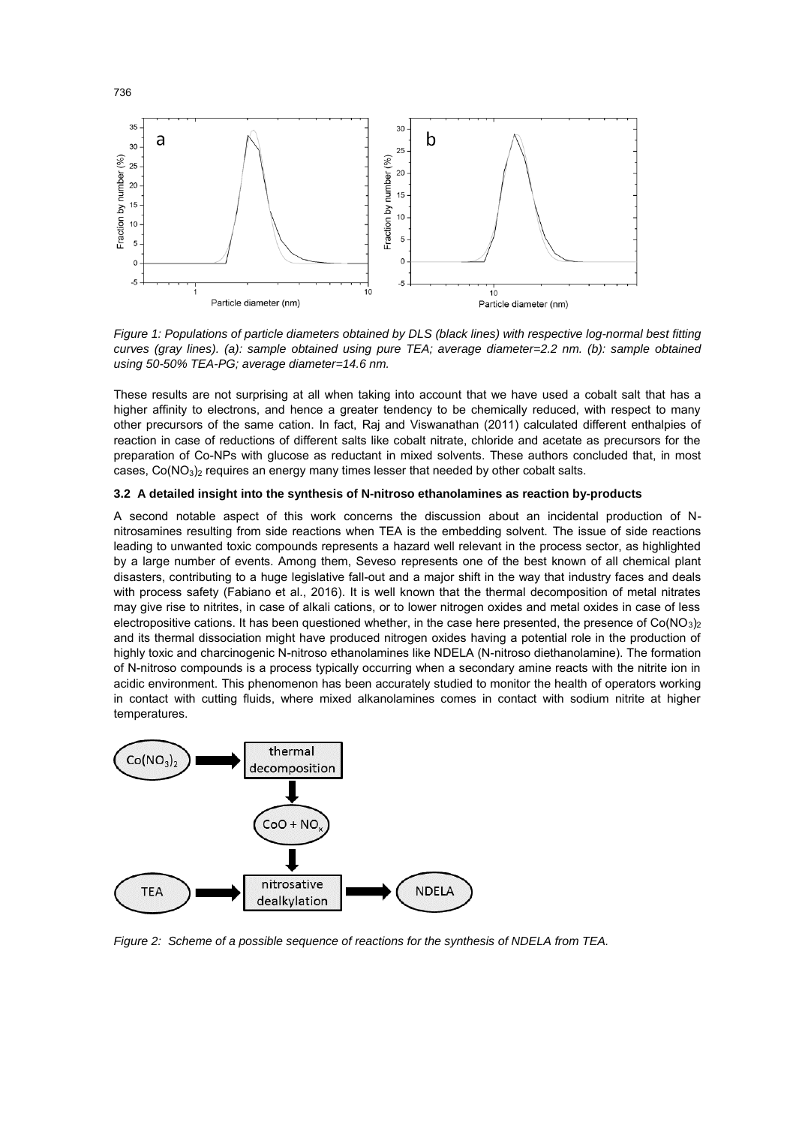

*Figure 1: Populations of particle diameters obtained by DLS (black lines) with respective log-normal best fitting curves (gray lines). (a): sample obtained using pure TEA; average diameter=2.2 nm. (b): sample obtained using 50-50% TEA-PG; average diameter=14.6 nm.* 

These results are not surprising at all when taking into account that we have used a cobalt salt that has a higher affinity to electrons, and hence a greater tendency to be chemically reduced, with respect to many other precursors of the same cation. In fact, Raj and Viswanathan (2011) calculated different enthalpies of reaction in case of reductions of different salts like cobalt nitrate, chloride and acetate as precursors for the preparation of Co-NPs with glucose as reductant in mixed solvents. These authors concluded that, in most cases,  $Co(NO<sub>3</sub>)<sub>2</sub>$  requires an energy many times lesser that needed by other cobalt salts.

#### **3.2 A detailed insight into the synthesis of N-nitroso ethanolamines as reaction by-products**

A second notable aspect of this work concerns the discussion about an incidental production of Nnitrosamines resulting from side reactions when TEA is the embedding solvent. The issue of side reactions leading to unwanted toxic compounds represents a hazard well relevant in the process sector, as highlighted by a large number of events. Among them, Seveso represents one of the best known of all chemical plant disasters, contributing to a huge legislative fall-out and a major shift in the way that industry faces and deals with process safety (Fabiano et al., 2016). It is well known that the thermal decomposition of metal nitrates may give rise to nitrites, in case of alkali cations, or to lower nitrogen oxides and metal oxides in case of less electropositive cations. It has been questioned whether, in the case here presented, the presence of  $Co(NO<sub>3</sub>)<sub>2</sub>$ and its thermal dissociation might have produced nitrogen oxides having a potential role in the production of highly toxic and charcinogenic N-nitroso ethanolamines like NDELA (N-nitroso diethanolamine). The formation of N-nitroso compounds is a process typically occurring when a secondary amine reacts with the nitrite ion in acidic environment. This phenomenon has been accurately studied to monitor the health of operators working in contact with cutting fluids, where mixed alkanolamines comes in contact with sodium nitrite at higher temperatures.



*Figure 2: Scheme of a possible sequence of reactions for the synthesis of NDELA from TEA.*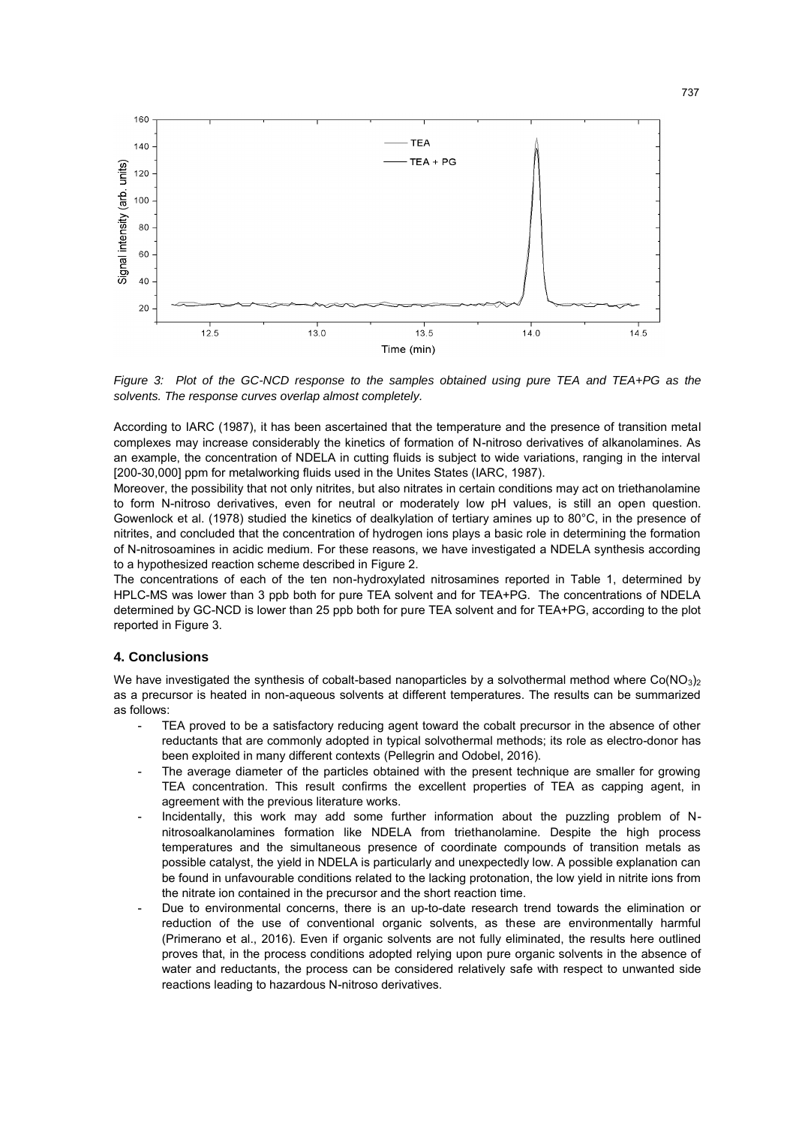

*Figure 3: Plot of the GC-NCD response to the samples obtained using pure TEA and TEA+PG as the solvents. The response curves overlap almost completely.* 

According to IARC (1987), it has been ascertained that the temperature and the presence of transition metal complexes may increase considerably the kinetics of formation of N-nitroso derivatives of alkanolamines. As an example, the concentration of NDELA in cutting fluids is subject to wide variations, ranging in the interval [200-30,000] ppm for metalworking fluids used in the Unites States (IARC, 1987).

Moreover, the possibility that not only nitrites, but also nitrates in certain conditions may act on triethanolamine to form N-nitroso derivatives, even for neutral or moderately low pH values, is still an open question. Gowenlock et al. (1978) studied the kinetics of dealkylation of tertiary amines up to 80°C, in the presence of nitrites, and concluded that the concentration of hydrogen ions plays a basic role in determining the formation of N-nitrosoamines in acidic medium. For these reasons, we have investigated a NDELA synthesis according to a hypothesized reaction scheme described in Figure 2.

The concentrations of each of the ten non-hydroxylated nitrosamines reported in Table 1, determined by HPLC-MS was lower than 3 ppb both for pure TEA solvent and for TEA+PG. The concentrations of NDELA determined by GC-NCD is lower than 25 ppb both for pure TEA solvent and for TEA+PG, according to the plot reported in Figure 3.

## **4. Conclusions**

We have investigated the synthesis of cobalt-based nanoparticles by a solvothermal method where  $Co(NO_3)_2$ as a precursor is heated in non-aqueous solvents at different temperatures. The results can be summarized as follows:

- TEA proved to be a satisfactory reducing agent toward the cobalt precursor in the absence of other reductants that are commonly adopted in typical solvothermal methods; its role as electro-donor has been exploited in many different contexts (Pellegrin and Odobel, 2016).
- The average diameter of the particles obtained with the present technique are smaller for growing TEA concentration. This result confirms the excellent properties of TEA as capping agent, in agreement with the previous literature works.
- Incidentally, this work may add some further information about the puzzling problem of Nnitrosoalkanolamines formation like NDELA from triethanolamine. Despite the high process temperatures and the simultaneous presence of coordinate compounds of transition metals as possible catalyst, the yield in NDELA is particularly and unexpectedly low. A possible explanation can be found in unfavourable conditions related to the lacking protonation, the low yield in nitrite ions from the nitrate ion contained in the precursor and the short reaction time.
- Due to environmental concerns, there is an up-to-date research trend towards the elimination or reduction of the use of conventional organic solvents, as these are environmentally harmful (Primerano et al., 2016). Even if organic solvents are not fully eliminated, the results here outlined proves that, in the process conditions adopted relying upon pure organic solvents in the absence of water and reductants, the process can be considered relatively safe with respect to unwanted side reactions leading to hazardous N-nitroso derivatives.